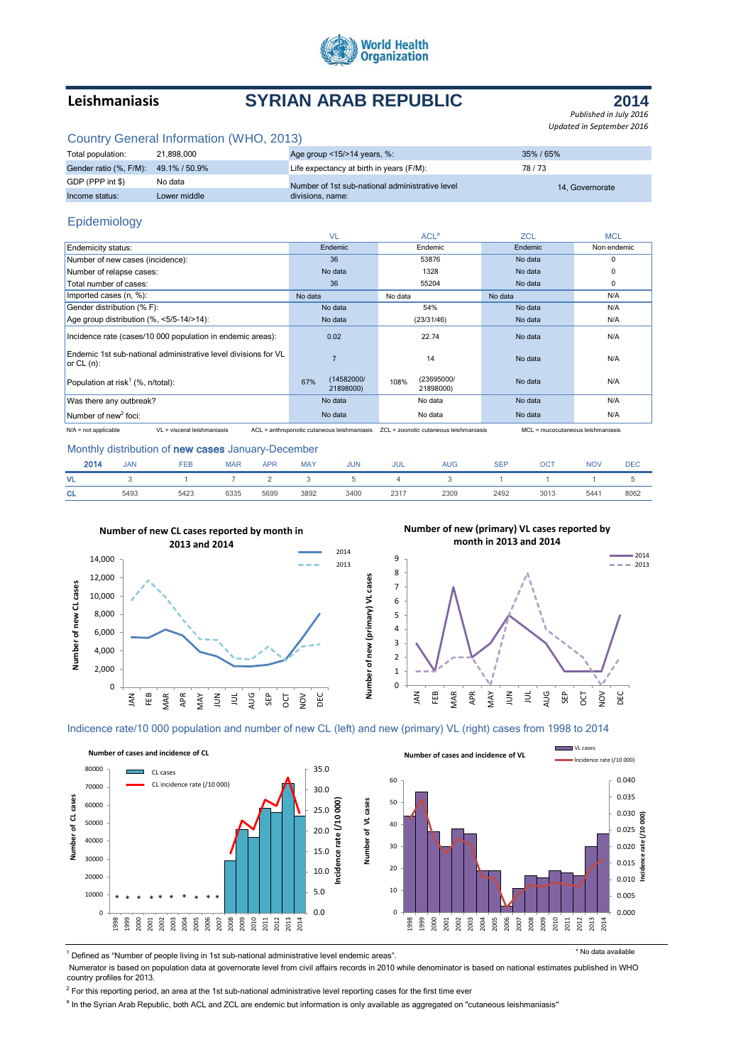

# **Leishmaniasis SYRIAN ARAB REPUBLIC**

**2014**

*Published in July 2016 Updated in September 2016*

|  |  |  | Country General Information (WHO, 2013) |  |
|--|--|--|-----------------------------------------|--|
|--|--|--|-----------------------------------------|--|

| Total population:                    | 21.898.000   | Age group $<15/>14$ years, %:                   | 35%/65%         |
|--------------------------------------|--------------|-------------------------------------------------|-----------------|
| Gender ratio (%, F/M): 49.1% / 50.9% |              | Life expectancy at birth in years (F/M):        | 78/73           |
| GDP (PPP int \$)                     | No data      | Number of 1st sub-national administrative level | 14. Governorate |
| Income status:                       | Lower middle | divisions, name:                                |                 |

## Epidemiology

|                                                                                 | <b>VL</b>                                   | ACL <sup>a</sup>                       | <b>ZCL</b>                        | <b>MCL</b>  |
|---------------------------------------------------------------------------------|---------------------------------------------|----------------------------------------|-----------------------------------|-------------|
| <b>Endemicity status:</b>                                                       | Endemic                                     | Endemic                                | Endemic                           | Non endemic |
| Number of new cases (incidence):                                                | 36                                          | 53876                                  | No data                           | $\Omega$    |
| Number of relapse cases:                                                        | No data                                     | 1328                                   |                                   | 0           |
| Total number of cases:                                                          | 36                                          | 55204                                  | No data                           | 0           |
| Imported cases (n, %):                                                          | No data                                     | No data                                | No data                           | N/A         |
| Gender distribution (% F):                                                      | No data                                     | 54%                                    | No data                           | N/A         |
| Age group distribution (%, <5/5-14/>14):                                        | No data                                     | (23/31/46)                             | No data                           | N/A         |
| Incidence rate (cases/10 000 population in endemic areas):                      | 0.02                                        | 22.74                                  | No data                           | N/A         |
| Endemic 1st sub-national administrative level divisions for VL<br>or $CL (n)$ : | $\overline{7}$                              | 14                                     | No data                           | N/A         |
| Population at risk <sup>1</sup> (%, $n$ /total):                                | (14582000/<br>67%<br>21898000)              | (23695000/<br>108%<br>21898000)        | No data                           | N/A         |
| Was there any outbreak?                                                         | No data                                     | No data                                | No data                           | N/A         |
| Number of new <sup>2</sup> foci:                                                | No data                                     | No data                                | No data                           | N/A         |
| $VI = visceral leishmaniasis$<br>$N/A$ = not applicable                         | ACL = anthroponotic cutaneous leishmaniasis | ZCL = zoonotic cutaneous leishmaniasis | MCL = mucocutaneous leishmaniasis |             |

### Monthly distribution of new cases January-December

| 2014      | <b>JAN</b> | <b>FEB</b> | <b>MAR</b> | <b>APR</b> | <b>MAY</b> | <b>JUN</b>    | <b>JUL</b> | <b>AUG</b> | <b>SEP</b> | ост  | <b>NOV</b> | <b>DEC</b> |
|-----------|------------|------------|------------|------------|------------|---------------|------------|------------|------------|------|------------|------------|
| <b>VL</b> |            |            |            |            |            | $\mathcal{D}$ | 4          |            |            |      |            |            |
| <b>CL</b> | 5493       | 5423       | 6335       | 5699       | 3892       | 3400          | 2317       | 2309       | 2492       | 3013 | 5441       | 8062       |

**Number of new (primary) VL cases**



**Number of new (primary) VL cases reported by** 



Indicence rate/10 000 population and number of new CL (left) and new (primary) VL (right) cases from 1998 to 2014





<sup>1</sup> Defined as "Number of people living in 1st sub-national administrative level endemic areas". The state and the state available

VL cases

 Numerator is based on population data at governorate level from civil affairs records in 2010 while denominator is based on national estimates published in WHO country profiles for 2013.

 $2$  For this reporting period, an area at the 1st sub-national administrative level reporting cases for the first time ever

<sup>a</sup> In the Syrian Arab Republic, both ACL and ZCL are endemic but information is only available as aggregated on "cutaneous leishmaniasis"